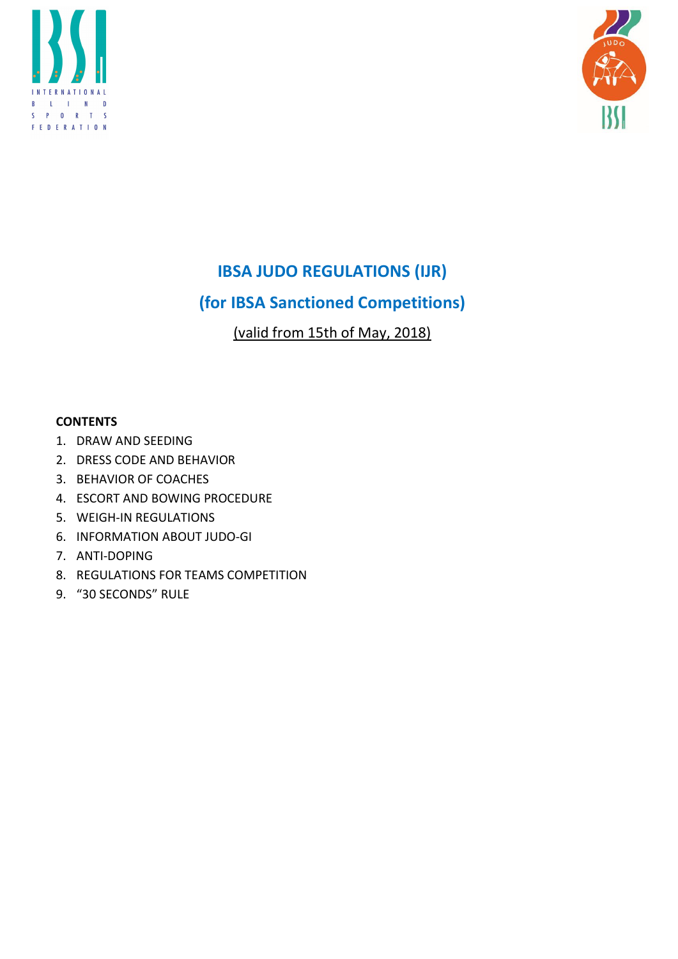



# IBSA JUDO REGULATIONS (IJR)

# (for IBSA Sanctioned Competitions)

(valid from 15th of May, 2018)

# **CONTENTS**

- 1. DRAW AND SEEDING
- 2. DRESS CODE AND BEHAVIOR
- 3. BEHAVIOR OF COACHES
- 4. ESCORT AND BOWING PROCEDURE
- 5. WEIGH-IN REGULATIONS
- 6. INFORMATION ABOUT JUDO-GI
- 7. ANTI-DOPING
- 8. REGULATIONS FOR TEAMS COMPETITION
- 9. "30 SECONDS" RULE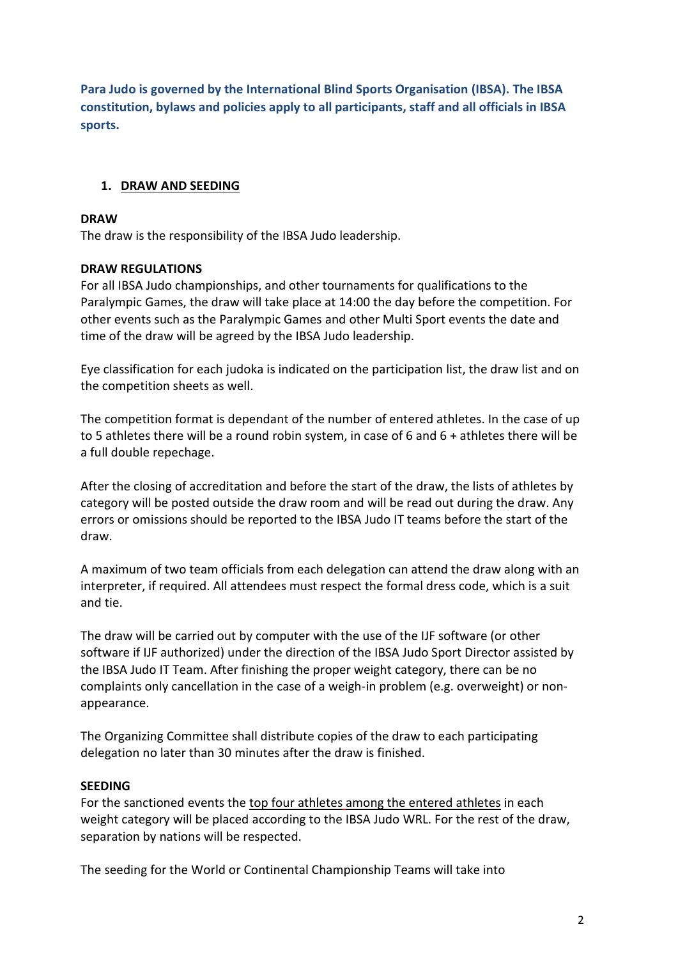Para Judo is governed by the International Blind Sports Organisation (IBSA). The IBSA constitution, bylaws and policies apply to all participants, staff and all officials in IBSA sports.

# 1. DRAW AND SEEDING

## DRAW

The draw is the responsibility of the IBSA Judo leadership.

## DRAW REGULATIONS

For all IBSA Judo championships, and other tournaments for qualifications to the Paralympic Games, the draw will take place at 14:00 the day before the competition. For other events such as the Paralympic Games and other Multi Sport events the date and time of the draw will be agreed by the IBSA Judo leadership.

Eye classification for each judoka is indicated on the participation list, the draw list and on the competition sheets as well.

The competition format is dependant of the number of entered athletes. In the case of up to 5 athletes there will be a round robin system, in case of 6 and 6 + athletes there will be a full double repechage.

After the closing of accreditation and before the start of the draw, the lists of athletes by category will be posted outside the draw room and will be read out during the draw. Any errors or omissions should be reported to the IBSA Judo IT teams before the start of the draw.

A maximum of two team officials from each delegation can attend the draw along with an interpreter, if required. All attendees must respect the formal dress code, which is a suit and tie.

The draw will be carried out by computer with the use of the IJF software (or other software if IJF authorized) under the direction of the IBSA Judo Sport Director assisted by the IBSA Judo IT Team. After finishing the proper weight category, there can be no complaints only cancellation in the case of a weigh-in problem (e.g. overweight) or nonappearance.

The Organizing Committee shall distribute copies of the draw to each participating delegation no later than 30 minutes after the draw is finished.

## SEEDING

For the sanctioned events the top four athletes among the entered athletes in each weight category will be placed according to the IBSA Judo WRL. For the rest of the draw, separation by nations will be respected.

The seeding for the World or Continental Championship Teams will take into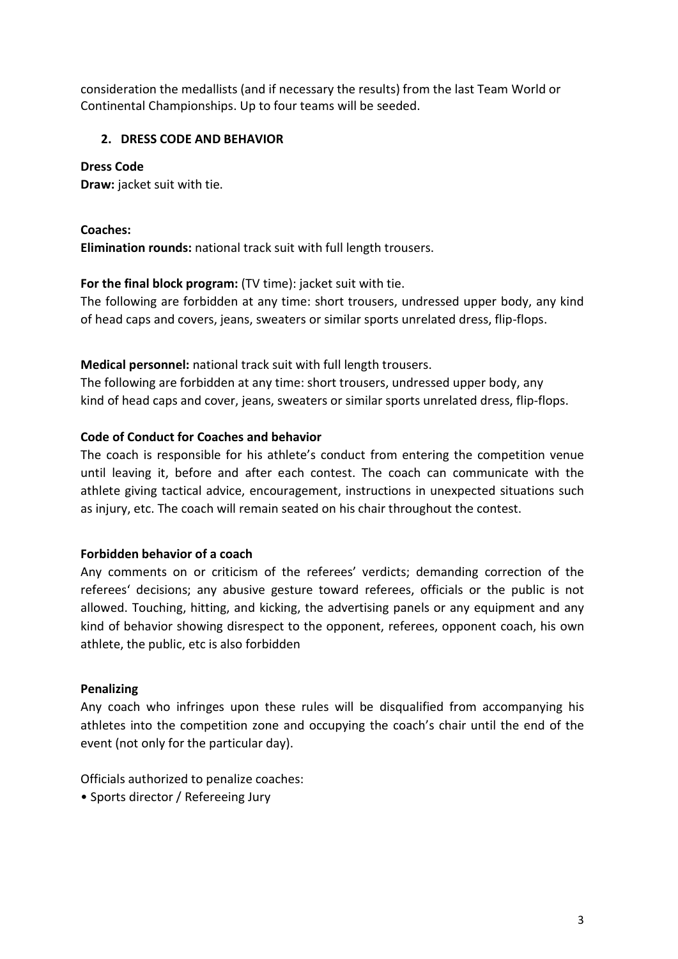consideration the medallists (and if necessary the results) from the last Team World or Continental Championships. Up to four teams will be seeded.

# 2. DRESS CODE AND BEHAVIOR

## Dress Code

Draw: jacket suit with tie.

Coaches:

Elimination rounds: national track suit with full length trousers.

# For the final block program: (TV time): jacket suit with tie.

The following are forbidden at any time: short trousers, undressed upper body, any kind of head caps and covers, jeans, sweaters or similar sports unrelated dress, flip-flops.

## Medical personnel: national track suit with full length trousers.

The following are forbidden at any time: short trousers, undressed upper body, any kind of head caps and cover, jeans, sweaters or similar sports unrelated dress, flip-flops.

## Code of Conduct for Coaches and behavior

The coach is responsible for his athlete's conduct from entering the competition venue until leaving it, before and after each contest. The coach can communicate with the athlete giving tactical advice, encouragement, instructions in unexpected situations such as injury, etc. The coach will remain seated on his chair throughout the contest.

## Forbidden behavior of a coach

Any comments on or criticism of the referees' verdicts; demanding correction of the referees' decisions; any abusive gesture toward referees, officials or the public is not allowed. Touching, hitting, and kicking, the advertising panels or any equipment and any kind of behavior showing disrespect to the opponent, referees, opponent coach, his own athlete, the public, etc is also forbidden

## Penalizing

Any coach who infringes upon these rules will be disqualified from accompanying his athletes into the competition zone and occupying the coach's chair until the end of the event (not only for the particular day).

Officials authorized to penalize coaches:

• Sports director / Refereeing Jury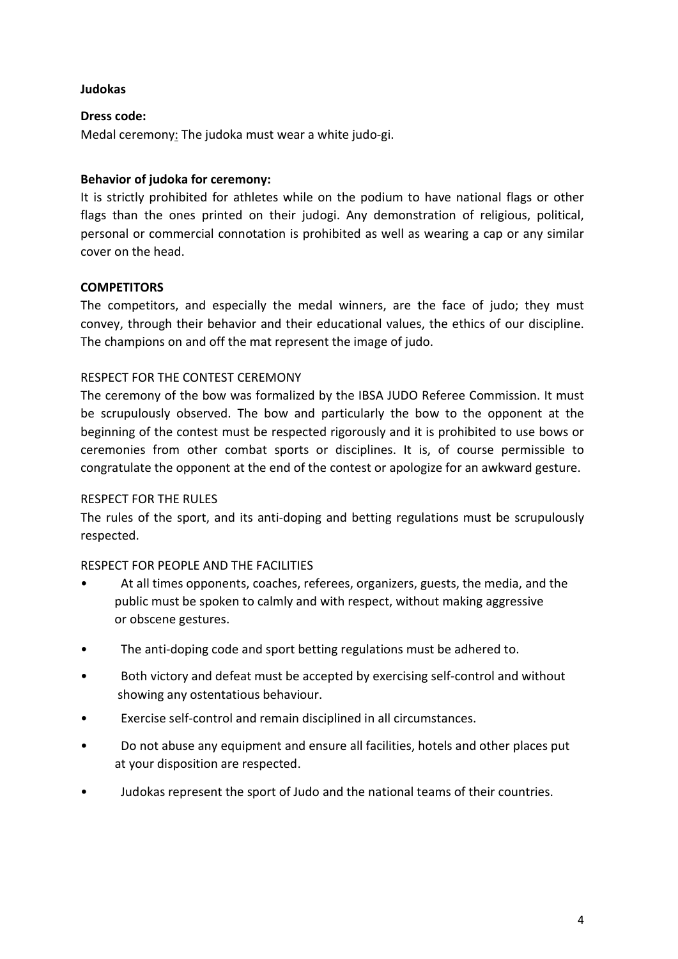#### Judokas

#### Dress code:

Medal ceremony: The judoka must wear a white judo-gi.

## Behavior of judoka for ceremony:

It is strictly prohibited for athletes while on the podium to have national flags or other flags than the ones printed on their judogi. Any demonstration of religious, political, personal or commercial connotation is prohibited as well as wearing a cap or any similar cover on the head.

#### **COMPETITORS**

The competitors, and especially the medal winners, are the face of judo; they must convey, through their behavior and their educational values, the ethics of our discipline. The champions on and off the mat represent the image of judo.

#### RESPECT FOR THE CONTEST CEREMONY

The ceremony of the bow was formalized by the IBSA JUDO Referee Commission. It must be scrupulously observed. The bow and particularly the bow to the opponent at the beginning of the contest must be respected rigorously and it is prohibited to use bows or ceremonies from other combat sports or disciplines. It is, of course permissible to congratulate the opponent at the end of the contest or apologize for an awkward gesture.

#### RESPECT FOR THE RULES

The rules of the sport, and its anti-doping and betting regulations must be scrupulously respected.

## RESPECT FOR PEOPLE AND THE FACILITIES

- At all times opponents, coaches, referees, organizers, guests, the media, and the public must be spoken to calmly and with respect, without making aggressive or obscene gestures.
- The anti-doping code and sport betting regulations must be adhered to.
- Both victory and defeat must be accepted by exercising self-control and without showing any ostentatious behaviour.
- Exercise self-control and remain disciplined in all circumstances.
- Do not abuse any equipment and ensure all facilities, hotels and other places put at your disposition are respected.
- Judokas represent the sport of Judo and the national teams of their countries.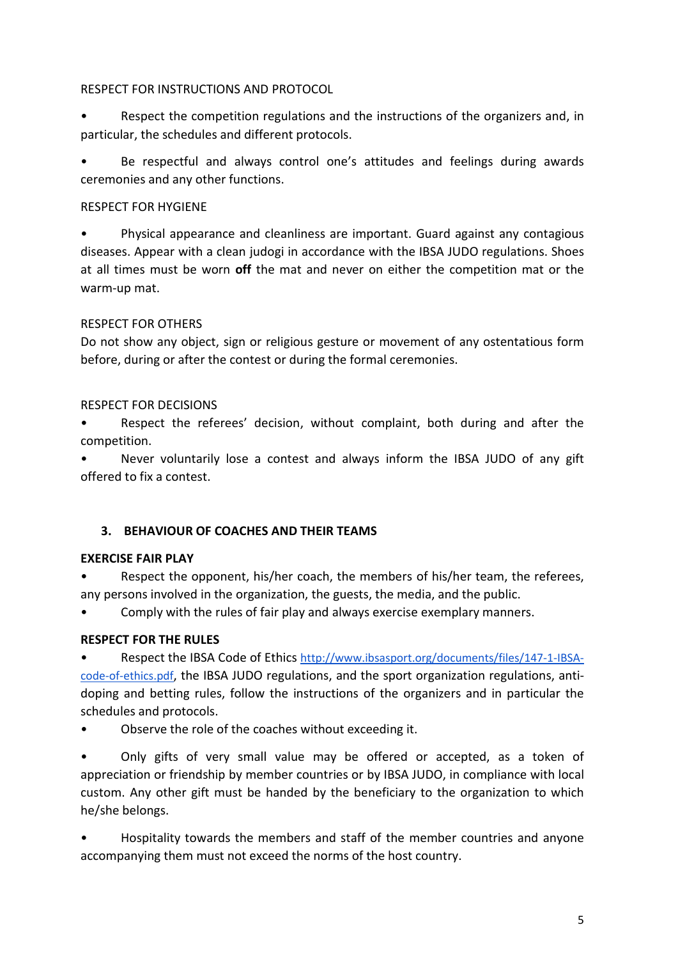#### RESPECT FOR INSTRUCTIONS AND PROTOCOL

• Respect the competition regulations and the instructions of the organizers and, in particular, the schedules and different protocols.

• Be respectful and always control one's attitudes and feelings during awards ceremonies and any other functions.

## RESPECT FOR HYGIENE

• Physical appearance and cleanliness are important. Guard against any contagious diseases. Appear with a clean judogi in accordance with the IBSA JUDO regulations. Shoes at all times must be worn off the mat and never on either the competition mat or the warm-up mat.

# RESPECT FOR OTHERS

Do not show any object, sign or religious gesture or movement of any ostentatious form before, during or after the contest or during the formal ceremonies.

# RESPECT FOR DECISIONS

• Respect the referees' decision, without complaint, both during and after the competition.

• Never voluntarily lose a contest and always inform the IBSA JUDO of any gift offered to fix a contest.

# 3. BEHAVIOUR OF COACHES AND THEIR TEAMS

## EXERCISE FAIR PLAY

Respect the opponent, his/her coach, the members of his/her team, the referees, any persons involved in the organization, the guests, the media, and the public.

• Comply with the rules of fair play and always exercise exemplary manners.

# RESPECT FOR THE RULES

• Respect the IBSA Code of Ethics http://www.ibsasport.org/documents/files/147-1-IBSAcode-of-ethics.pdf, the IBSA JUDO regulations, and the sport organization regulations, antidoping and betting rules, follow the instructions of the organizers and in particular the schedules and protocols.

• Observe the role of the coaches without exceeding it.

• Only gifts of very small value may be offered or accepted, as a token of appreciation or friendship by member countries or by IBSA JUDO, in compliance with local custom. Any other gift must be handed by the beneficiary to the organization to which he/she belongs.

• Hospitality towards the members and staff of the member countries and anyone accompanying them must not exceed the norms of the host country.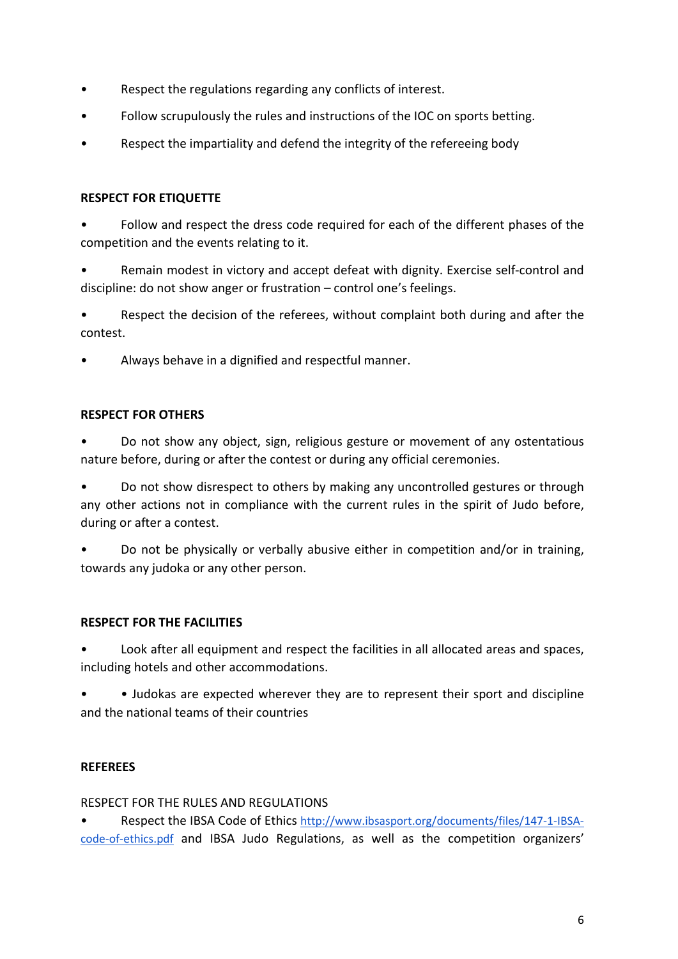- Respect the regulations regarding any conflicts of interest.
- Follow scrupulously the rules and instructions of the IOC on sports betting.
- Respect the impartiality and defend the integrity of the refereeing body

#### RESPECT FOR ETIQUETTE

• Follow and respect the dress code required for each of the different phases of the competition and the events relating to it.

• Remain modest in victory and accept defeat with dignity. Exercise self-control and discipline: do not show anger or frustration – control one's feelings.

• Respect the decision of the referees, without complaint both during and after the contest.

• Always behave in a dignified and respectful manner.

#### RESPECT FOR OTHERS

• Do not show any object, sign, religious gesture or movement of any ostentatious nature before, during or after the contest or during any official ceremonies.

• Do not show disrespect to others by making any uncontrolled gestures or through any other actions not in compliance with the current rules in the spirit of Judo before, during or after a contest.

• Do not be physically or verbally abusive either in competition and/or in training, towards any judoka or any other person.

## RESPECT FOR THE FACILITIES

• Look after all equipment and respect the facilities in all allocated areas and spaces, including hotels and other accommodations.

• • Judokas are expected wherever they are to represent their sport and discipline and the national teams of their countries

## REFEREES

## RESPECT FOR THE RULES AND REGULATIONS

• Respect the IBSA Code of Ethics http://www.ibsasport.org/documents/files/147-1-IBSAcode-of-ethics.pdf and IBSA Judo Regulations, as well as the competition organizers'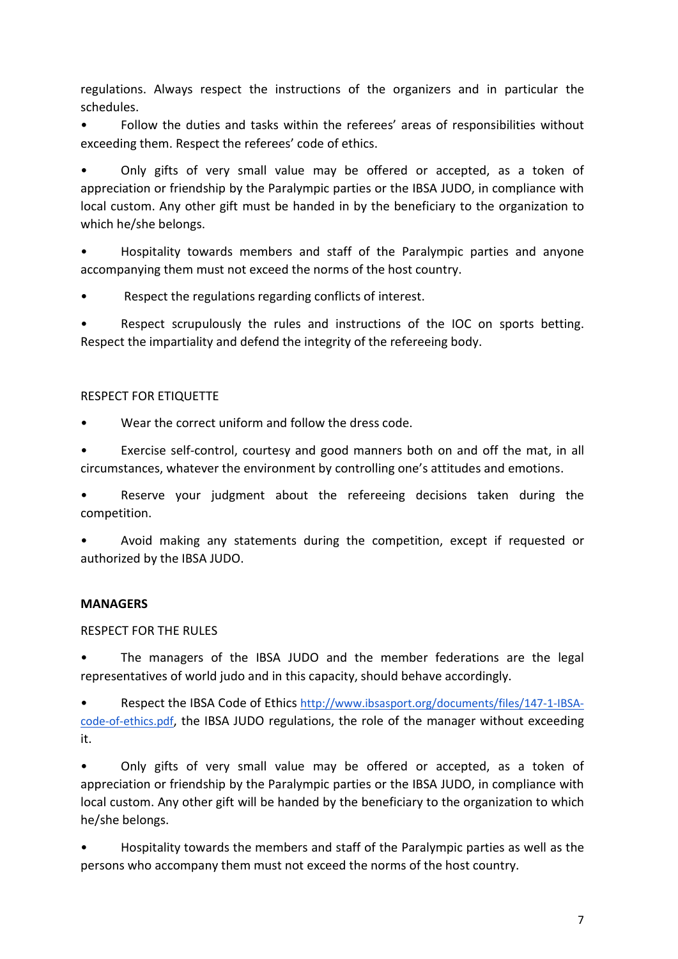regulations. Always respect the instructions of the organizers and in particular the schedules.

• Follow the duties and tasks within the referees' areas of responsibilities without exceeding them. Respect the referees' code of ethics.

• Only gifts of very small value may be offered or accepted, as a token of appreciation or friendship by the Paralympic parties or the IBSA JUDO, in compliance with local custom. Any other gift must be handed in by the beneficiary to the organization to which he/she belongs.

• Hospitality towards members and staff of the Paralympic parties and anyone accompanying them must not exceed the norms of the host country.

Respect the regulations regarding conflicts of interest.

Respect scrupulously the rules and instructions of the IOC on sports betting. Respect the impartiality and defend the integrity of the refereeing body.

## RESPECT FOR ETIQUETTE

Wear the correct uniform and follow the dress code.

• Exercise self-control, courtesy and good manners both on and off the mat, in all circumstances, whatever the environment by controlling one's attitudes and emotions.

• Reserve your judgment about the refereeing decisions taken during the competition.

• Avoid making any statements during the competition, except if requested or authorized by the IBSA JUDO.

## **MANAGERS**

## RESPECT FOR THE RULES

• The managers of the IBSA JUDO and the member federations are the legal representatives of world judo and in this capacity, should behave accordingly.

• Respect the IBSA Code of Ethics http://www.ibsasport.org/documents/files/147-1-IBSAcode-of-ethics.pdf, the IBSA JUDO regulations, the role of the manager without exceeding it.

• Only gifts of very small value may be offered or accepted, as a token of appreciation or friendship by the Paralympic parties or the IBSA JUDO, in compliance with local custom. Any other gift will be handed by the beneficiary to the organization to which he/she belongs.

• Hospitality towards the members and staff of the Paralympic parties as well as the persons who accompany them must not exceed the norms of the host country.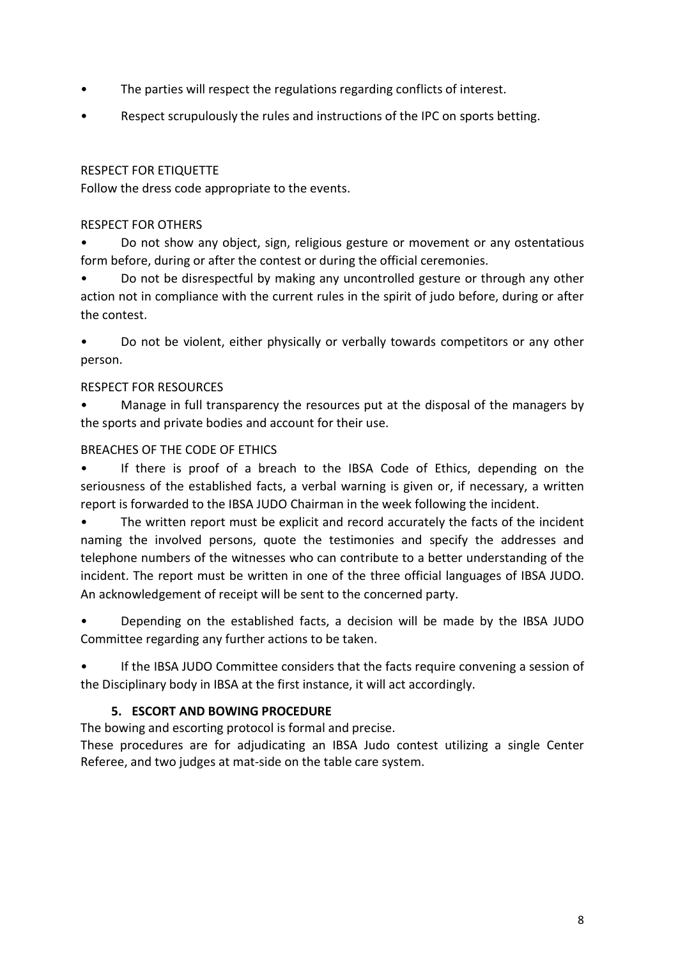- The parties will respect the regulations regarding conflicts of interest.
- Respect scrupulously the rules and instructions of the IPC on sports betting.

#### RESPECT FOR ETIQUETTE

Follow the dress code appropriate to the events.

#### RESPECT FOR OTHERS

• Do not show any object, sign, religious gesture or movement or any ostentatious form before, during or after the contest or during the official ceremonies.

• Do not be disrespectful by making any uncontrolled gesture or through any other action not in compliance with the current rules in the spirit of judo before, during or after the contest.

• Do not be violent, either physically or verbally towards competitors or any other person.

#### RESPECT FOR RESOURCES

• Manage in full transparency the resources put at the disposal of the managers by the sports and private bodies and account for their use.

#### BREACHES OF THE CODE OF ETHICS

• If there is proof of a breach to the IBSA Code of Ethics, depending on the seriousness of the established facts, a verbal warning is given or, if necessary, a written report is forwarded to the IBSA JUDO Chairman in the week following the incident.

• The written report must be explicit and record accurately the facts of the incident naming the involved persons, quote the testimonies and specify the addresses and telephone numbers of the witnesses who can contribute to a better understanding of the incident. The report must be written in one of the three official languages of IBSA JUDO. An acknowledgement of receipt will be sent to the concerned party.

• Depending on the established facts, a decision will be made by the IBSA JUDO Committee regarding any further actions to be taken.

If the IBSA JUDO Committee considers that the facts require convening a session of the Disciplinary body in IBSA at the first instance, it will act accordingly.

## 5. ESCORT AND BOWING PROCEDURE

The bowing and escorting protocol is formal and precise.

These procedures are for adjudicating an IBSA Judo contest utilizing a single Center Referee, and two judges at mat-side on the table care system.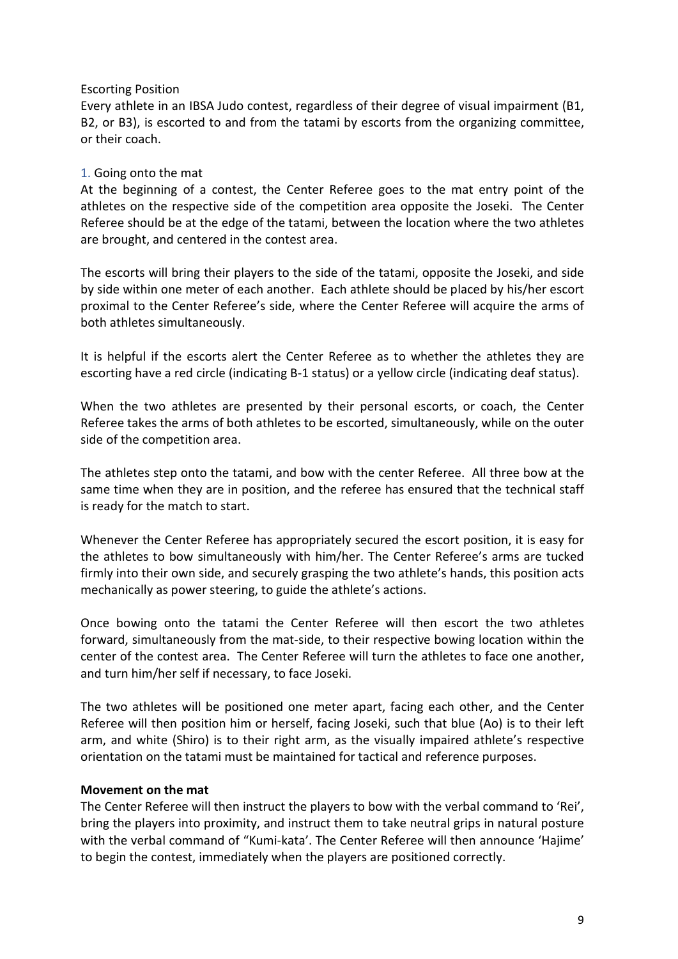#### Escorting Position

Every athlete in an IBSA Judo contest, regardless of their degree of visual impairment (B1, B2, or B3), is escorted to and from the tatami by escorts from the organizing committee, or their coach.

#### 1. Going onto the mat

At the beginning of a contest, the Center Referee goes to the mat entry point of the athletes on the respective side of the competition area opposite the Joseki. The Center Referee should be at the edge of the tatami, between the location where the two athletes are brought, and centered in the contest area.

The escorts will bring their players to the side of the tatami, opposite the Joseki, and side by side within one meter of each another. Each athlete should be placed by his/her escort proximal to the Center Referee's side, where the Center Referee will acquire the arms of both athletes simultaneously.

It is helpful if the escorts alert the Center Referee as to whether the athletes they are escorting have a red circle (indicating B-1 status) or a yellow circle (indicating deaf status).

When the two athletes are presented by their personal escorts, or coach, the Center Referee takes the arms of both athletes to be escorted, simultaneously, while on the outer side of the competition area.

The athletes step onto the tatami, and bow with the center Referee. All three bow at the same time when they are in position, and the referee has ensured that the technical staff is ready for the match to start.

Whenever the Center Referee has appropriately secured the escort position, it is easy for the athletes to bow simultaneously with him/her. The Center Referee's arms are tucked firmly into their own side, and securely grasping the two athlete's hands, this position acts mechanically as power steering, to guide the athlete's actions.

Once bowing onto the tatami the Center Referee will then escort the two athletes forward, simultaneously from the mat-side, to their respective bowing location within the center of the contest area. The Center Referee will turn the athletes to face one another, and turn him/her self if necessary, to face Joseki.

The two athletes will be positioned one meter apart, facing each other, and the Center Referee will then position him or herself, facing Joseki, such that blue (Ao) is to their left arm, and white (Shiro) is to their right arm, as the visually impaired athlete's respective orientation on the tatami must be maintained for tactical and reference purposes.

#### Movement on the mat

The Center Referee will then instruct the players to bow with the verbal command to 'Rei', bring the players into proximity, and instruct them to take neutral grips in natural posture with the verbal command of "Kumi-kata'. The Center Referee will then announce 'Hajime' to begin the contest, immediately when the players are positioned correctly.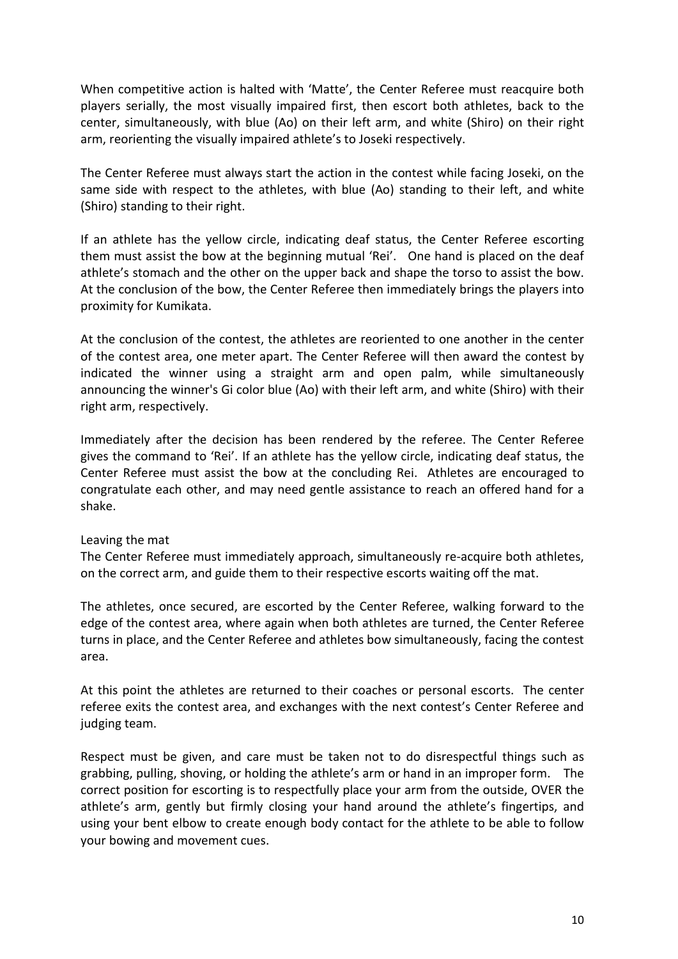When competitive action is halted with 'Matte', the Center Referee must reacquire both players serially, the most visually impaired first, then escort both athletes, back to the center, simultaneously, with blue (Ao) on their left arm, and white (Shiro) on their right arm, reorienting the visually impaired athlete's to Joseki respectively.

The Center Referee must always start the action in the contest while facing Joseki, on the same side with respect to the athletes, with blue (Ao) standing to their left, and white (Shiro) standing to their right.

If an athlete has the yellow circle, indicating deaf status, the Center Referee escorting them must assist the bow at the beginning mutual 'Rei'. One hand is placed on the deaf athlete's stomach and the other on the upper back and shape the torso to assist the bow. At the conclusion of the bow, the Center Referee then immediately brings the players into proximity for Kumikata.

At the conclusion of the contest, the athletes are reoriented to one another in the center of the contest area, one meter apart. The Center Referee will then award the contest by indicated the winner using a straight arm and open palm, while simultaneously announcing the winner's Gi color blue (Ao) with their left arm, and white (Shiro) with their right arm, respectively.

Immediately after the decision has been rendered by the referee. The Center Referee gives the command to 'Rei'. If an athlete has the yellow circle, indicating deaf status, the Center Referee must assist the bow at the concluding Rei. Athletes are encouraged to congratulate each other, and may need gentle assistance to reach an offered hand for a shake.

#### Leaving the mat

The Center Referee must immediately approach, simultaneously re-acquire both athletes, on the correct arm, and guide them to their respective escorts waiting off the mat.

The athletes, once secured, are escorted by the Center Referee, walking forward to the edge of the contest area, where again when both athletes are turned, the Center Referee turns in place, and the Center Referee and athletes bow simultaneously, facing the contest area.

At this point the athletes are returned to their coaches or personal escorts. The center referee exits the contest area, and exchanges with the next contest's Center Referee and judging team.

Respect must be given, and care must be taken not to do disrespectful things such as grabbing, pulling, shoving, or holding the athlete's arm or hand in an improper form. The correct position for escorting is to respectfully place your arm from the outside, OVER the athlete's arm, gently but firmly closing your hand around the athlete's fingertips, and using your bent elbow to create enough body contact for the athlete to be able to follow your bowing and movement cues.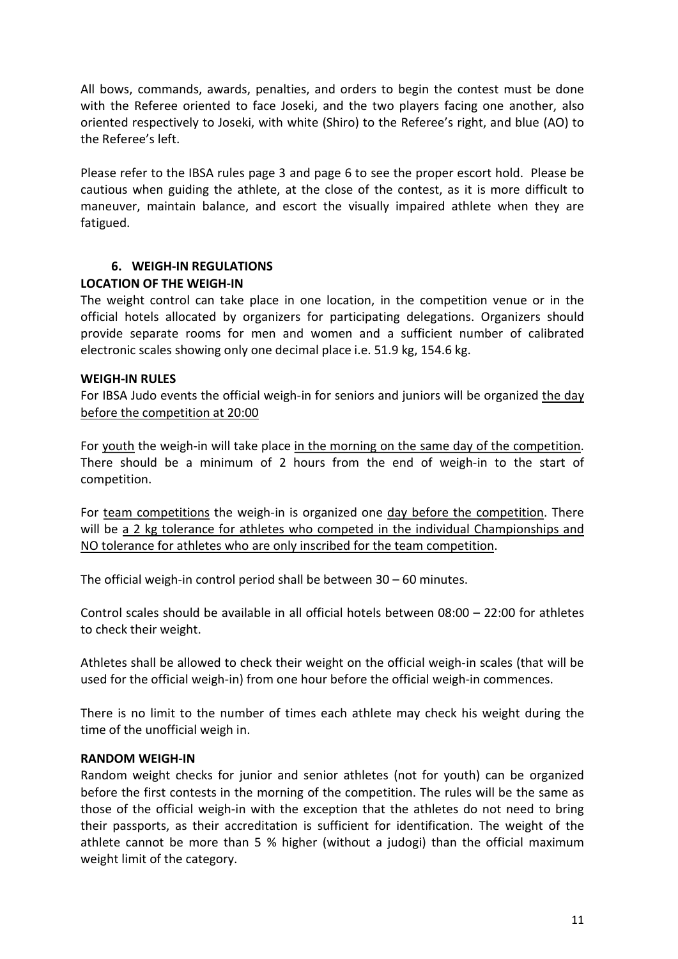All bows, commands, awards, penalties, and orders to begin the contest must be done with the Referee oriented to face Joseki, and the two players facing one another, also oriented respectively to Joseki, with white (Shiro) to the Referee's right, and blue (AO) to the Referee's left.

Please refer to the IBSA rules page 3 and page 6 to see the proper escort hold. Please be cautious when guiding the athlete, at the close of the contest, as it is more difficult to maneuver, maintain balance, and escort the visually impaired athlete when they are fatigued.

# 6. WEIGH-IN REGULATIONS

## LOCATION OF THE WEIGH-IN

The weight control can take place in one location, in the competition venue or in the official hotels allocated by organizers for participating delegations. Organizers should provide separate rooms for men and women and a sufficient number of calibrated electronic scales showing only one decimal place i.e. 51.9 kg, 154.6 kg.

#### WEIGH-IN RULES

For IBSA Judo events the official weigh-in for seniors and juniors will be organized the day before the competition at 20:00

For youth the weigh-in will take place in the morning on the same day of the competition. There should be a minimum of 2 hours from the end of weigh-in to the start of competition.

For team competitions the weigh-in is organized one day before the competition. There will be a 2 kg tolerance for athletes who competed in the individual Championships and NO tolerance for athletes who are only inscribed for the team competition.

The official weigh-in control period shall be between 30 – 60 minutes.

Control scales should be available in all official hotels between 08:00 – 22:00 for athletes to check their weight.

Athletes shall be allowed to check their weight on the official weigh-in scales (that will be used for the official weigh-in) from one hour before the official weigh-in commences.

There is no limit to the number of times each athlete may check his weight during the time of the unofficial weigh in.

## RANDOM WEIGH-IN

Random weight checks for junior and senior athletes (not for youth) can be organized before the first contests in the morning of the competition. The rules will be the same as those of the official weigh-in with the exception that the athletes do not need to bring their passports, as their accreditation is sufficient for identification. The weight of the athlete cannot be more than 5 % higher (without a judogi) than the official maximum weight limit of the category.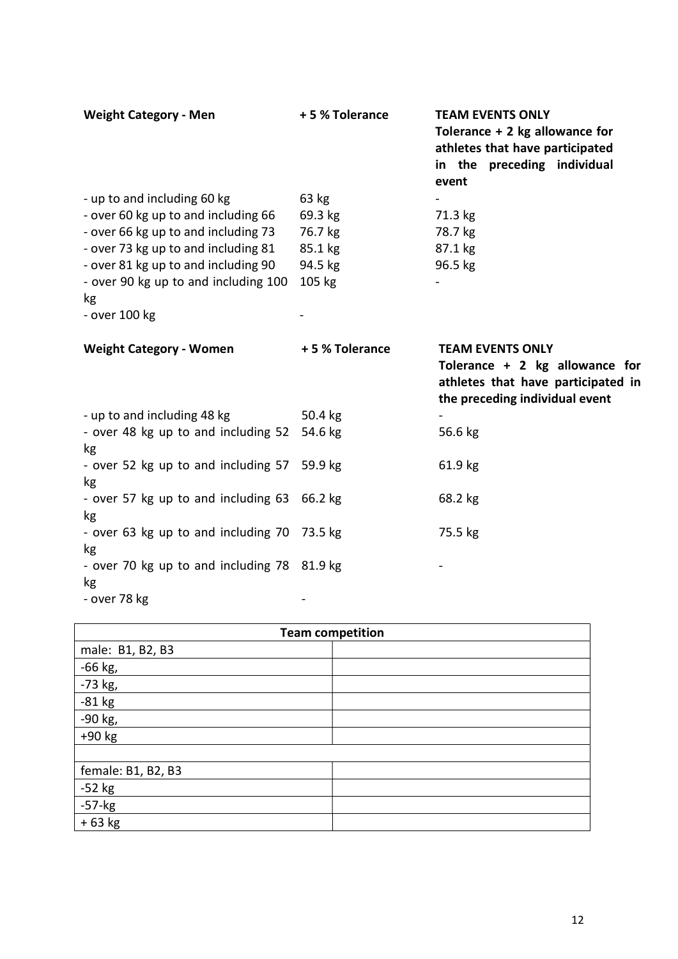| <b>Weight Category - Men</b>                                                                                                                                                                                                                           | +5 % Tolerance                                              | <b>TEAM EVENTS ONLY</b><br>Tolerance $+2$ kg allowance for<br>athletes that have participated<br>in the preceding individual<br>event |
|--------------------------------------------------------------------------------------------------------------------------------------------------------------------------------------------------------------------------------------------------------|-------------------------------------------------------------|---------------------------------------------------------------------------------------------------------------------------------------|
| - up to and including 60 kg<br>- over 60 kg up to and including 66<br>- over 66 kg up to and including 73<br>- over 73 kg up to and including 81<br>- over 81 kg up to and including 90<br>- over 90 kg up to and including 100<br>kg<br>- over 100 kg | 63 kg<br>69.3 kg<br>76.7 kg<br>85.1 kg<br>94.5 kg<br>105 kg | 71.3 kg<br>78.7 kg<br>87.1 kg<br>96.5 kg                                                                                              |
| <b>Weight Category - Women</b>                                                                                                                                                                                                                         | +5 % Tolerance                                              | <b>TEAM EVENTS ONLY</b><br>Tolerance + 2 kg allowance for<br>athletes that have participated in<br>the preceding individual event     |
| - up to and including 48 kg                                                                                                                                                                                                                            | 50.4 kg                                                     |                                                                                                                                       |
| - over 48 kg up to and including 52<br>kg                                                                                                                                                                                                              | 54.6 kg                                                     | 56.6 kg                                                                                                                               |
| - over 52 kg up to and including 57<br>kg                                                                                                                                                                                                              | 59.9 kg                                                     | 61.9 kg                                                                                                                               |
| - over 57 kg up to and including 63<br>kg                                                                                                                                                                                                              | 66.2 kg                                                     | 68.2 kg                                                                                                                               |
| - over 63 kg up to and including 70                                                                                                                                                                                                                    | 73.5 kg                                                     | 75.5 kg                                                                                                                               |
|                                                                                                                                                                                                                                                        |                                                             |                                                                                                                                       |
| kg<br>- over 70 kg up to and including 78 81.9 kg<br>kg                                                                                                                                                                                                |                                                             |                                                                                                                                       |

| <b>Team competition</b> |  |  |
|-------------------------|--|--|
| male: B1, B2, B3        |  |  |
| -66 kg,                 |  |  |
| -73 kg,                 |  |  |
| $-81$ kg                |  |  |
| -90 kg,                 |  |  |
| $+90$ kg                |  |  |
|                         |  |  |
| female: B1, B2, B3      |  |  |
| $-52$ kg                |  |  |
| $-57$ - $kg$            |  |  |
| $+63 kg$                |  |  |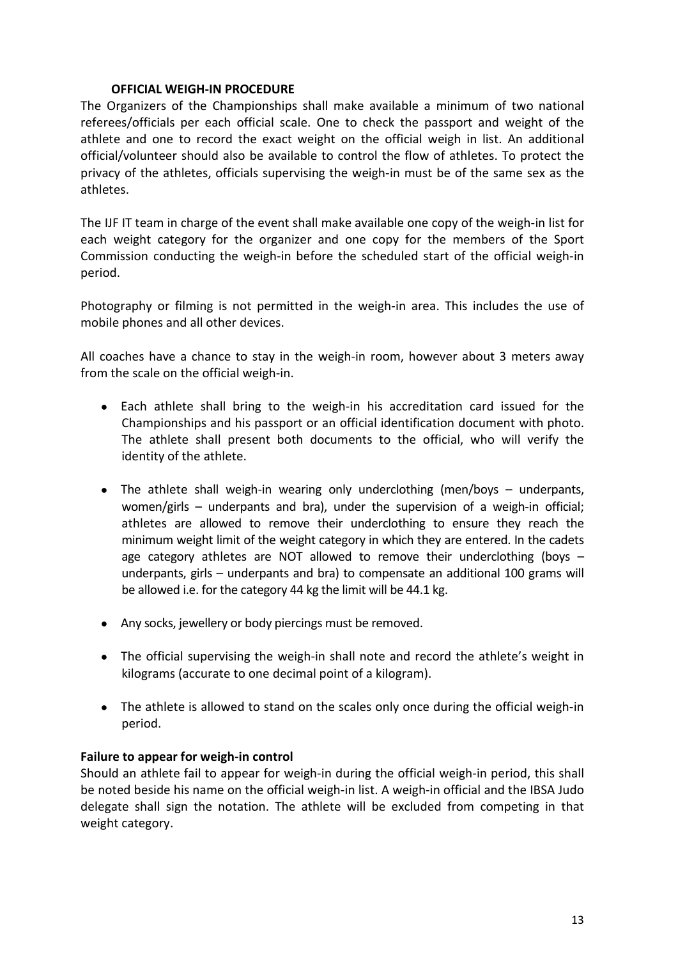#### OFFICIAL WEIGH-IN PROCEDURE

The Organizers of the Championships shall make available a minimum of two national referees/officials per each official scale. One to check the passport and weight of the athlete and one to record the exact weight on the official weigh in list. An additional official/volunteer should also be available to control the flow of athletes. To protect the privacy of the athletes, officials supervising the weigh-in must be of the same sex as the athletes.

The IJF IT team in charge of the event shall make available one copy of the weigh-in list for each weight category for the organizer and one copy for the members of the Sport Commission conducting the weigh-in before the scheduled start of the official weigh-in period.

Photography or filming is not permitted in the weigh-in area. This includes the use of mobile phones and all other devices.

All coaches have a chance to stay in the weigh-in room, however about 3 meters away from the scale on the official weigh-in.

- Each athlete shall bring to the weigh-in his accreditation card issued for the Championships and his passport or an official identification document with photo. The athlete shall present both documents to the official, who will verify the identity of the athlete.
- The athlete shall weigh-in wearing only underclothing (men/boys underpants, women/girls – underpants and bra), under the supervision of a weigh-in official; athletes are allowed to remove their underclothing to ensure they reach the minimum weight limit of the weight category in which they are entered. In the cadets age category athletes are NOT allowed to remove their underclothing (boys  $$ underpants, girls – underpants and bra) to compensate an additional 100 grams will be allowed i.e. for the category 44 kg the limit will be 44.1 kg.
- Any socks, jewellery or body piercings must be removed.
- The official supervising the weigh-in shall note and record the athlete's weight in kilograms (accurate to one decimal point of a kilogram).
- The athlete is allowed to stand on the scales only once during the official weigh-in period.

#### Failure to appear for weigh-in control

Should an athlete fail to appear for weigh-in during the official weigh-in period, this shall be noted beside his name on the official weigh-in list. A weigh-in official and the IBSA Judo delegate shall sign the notation. The athlete will be excluded from competing in that weight category.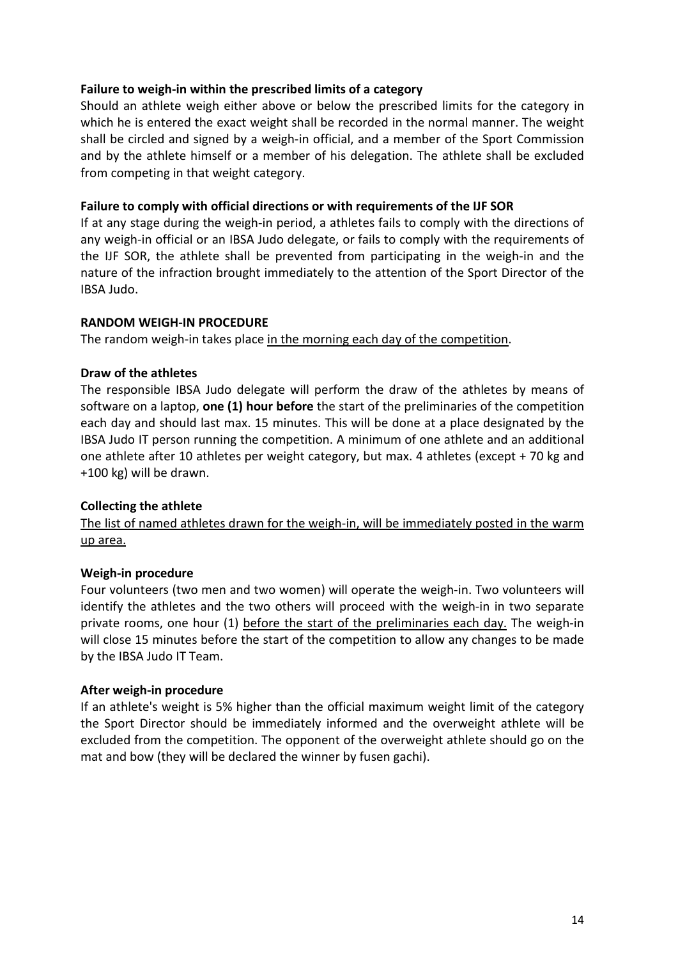#### Failure to weigh-in within the prescribed limits of a category

Should an athlete weigh either above or below the prescribed limits for the category in which he is entered the exact weight shall be recorded in the normal manner. The weight shall be circled and signed by a weigh-in official, and a member of the Sport Commission and by the athlete himself or a member of his delegation. The athlete shall be excluded from competing in that weight category.

#### Failure to comply with official directions or with requirements of the IJF SOR

If at any stage during the weigh-in period, a athletes fails to comply with the directions of any weigh-in official or an IBSA Judo delegate, or fails to comply with the requirements of the IJF SOR, the athlete shall be prevented from participating in the weigh-in and the nature of the infraction brought immediately to the attention of the Sport Director of the IBSA Judo.

#### RANDOM WEIGH-IN PROCEDURE

The random weigh-in takes place in the morning each day of the competition.

#### Draw of the athletes

The responsible IBSA Judo delegate will perform the draw of the athletes by means of software on a laptop, one (1) hour before the start of the preliminaries of the competition each day and should last max. 15 minutes. This will be done at a place designated by the IBSA Judo IT person running the competition. A minimum of one athlete and an additional one athlete after 10 athletes per weight category, but max. 4 athletes (except + 70 kg and +100 kg) will be drawn.

## Collecting the athlete

The list of named athletes drawn for the weigh-in, will be immediately posted in the warm up area.

## Weigh-in procedure

Four volunteers (two men and two women) will operate the weigh-in. Two volunteers will identify the athletes and the two others will proceed with the weigh-in in two separate private rooms, one hour (1) before the start of the preliminaries each day. The weigh-in will close 15 minutes before the start of the competition to allow any changes to be made by the IBSA Judo IT Team.

#### After weigh-in procedure

If an athlete's weight is 5% higher than the official maximum weight limit of the category the Sport Director should be immediately informed and the overweight athlete will be excluded from the competition. The opponent of the overweight athlete should go on the mat and bow (they will be declared the winner by fusen gachi).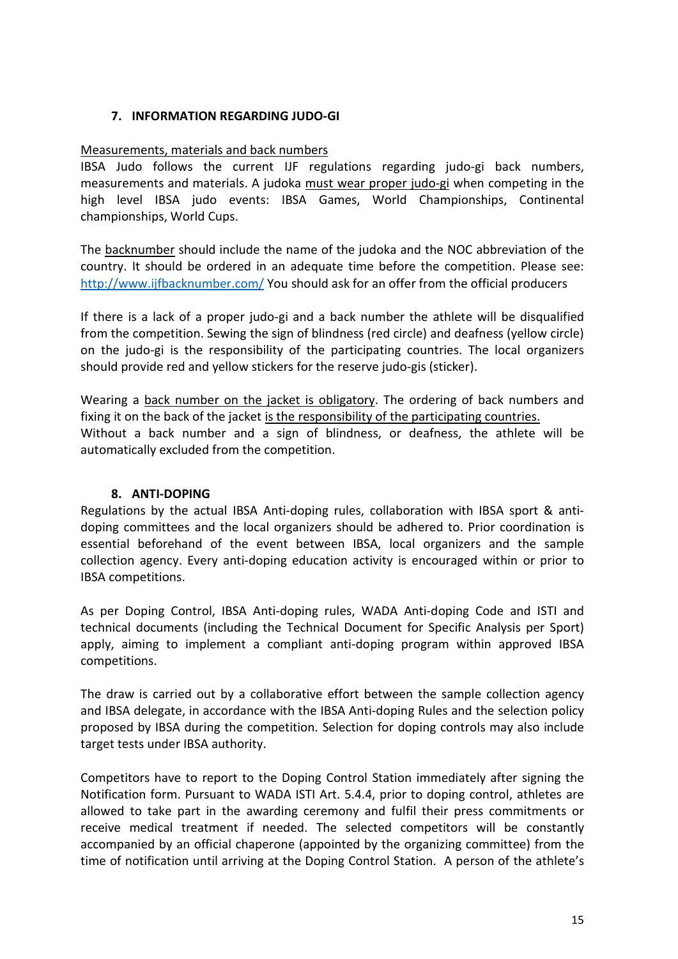# 7. INFORMATION REGARDING JUDO-GI

#### Measurements, materials and back numbers

IBSA Judo follows the current IJF regulations regarding judo-gi back numbers, measurements and materials. A judoka must wear proper judo-gi when competing in the high level IBSA judo events: IBSA Games, World Championships, Continental championships, World Cups.

The backnumber should include the name of the judoka and the NOC abbreviation of the country. It should be ordered in an adequate time before the competition. Please see: http://www.ijfbacknumber.com/ You should ask for an offer from the official producers

If there is a lack of a proper judo-gi and a back number the athlete will be disqualified from the competition. Sewing the sign of blindness (red circle) and deafness (yellow circle) on the judo-gi is the responsibility of the participating countries. The local organizers should provide red and yellow stickers for the reserve judo-gis (sticker).

Wearing a back number on the jacket is obligatory. The ordering of back numbers and fixing it on the back of the jacket is the responsibility of the participating countries. Without a back number and a sign of blindness, or deafness, the athlete will be automatically excluded from the competition.

#### 8. ANTI-DOPING

Regulations by the actual IBSA Anti-doping rules, collaboration with IBSA sport & antidoping committees and the local organizers should be adhered to. Prior coordination is essential beforehand of the event between IBSA, local organizers and the sample collection agency. Every anti-doping education activity is encouraged within or prior to IBSA competitions.

As per Doping Control, IBSA Anti-doping rules, WADA Anti-doping Code and ISTI and technical documents (including the Technical Document for Specific Analysis per Sport) apply, aiming to implement a compliant anti-doping program within approved IBSA competitions.

The draw is carried out by a collaborative effort between the sample collection agency and IBSA delegate, in accordance with the IBSA Anti-doping Rules and the selection policy proposed by IBSA during the competition. Selection for doping controls may also include target tests under IBSA authority.

Competitors have to report to the Doping Control Station immediately after signing the Notification form. Pursuant to WADA ISTI Art. 5.4.4, prior to doping control, athletes are allowed to take part in the awarding ceremony and fulfil their press commitments or receive medical treatment if needed. The selected competitors will be constantly accompanied by an official chaperone (appointed by the organizing committee) from the time of notification until arriving at the Doping Control Station. A person of the athlete's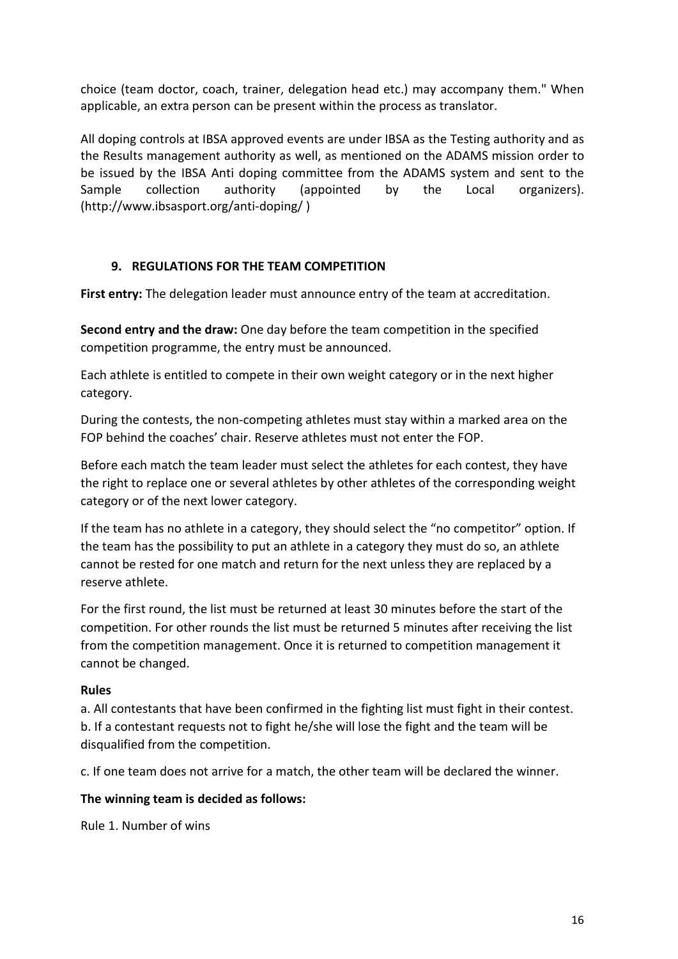choice (team doctor, coach, trainer, delegation head etc.) may accompany them." When applicable, an extra person can be present within the process as translator.

All doping controls at IBSA approved events are under IBSA as the Testing authority and as the Results management authority as well, as mentioned on the ADAMS mission order to be issued by the IBSA Anti doping committee from the ADAMS system and sent to the Sample collection authority (appointed by the Local organizers). (http://www.ibsasport.org/anti-doping/ )

# 9. REGULATIONS FOR THE TEAM COMPETITION

First entry: The delegation leader must announce entry of the team at accreditation.

Second entry and the draw: One day before the team competition in the specified competition programme, the entry must be announced.

Each athlete is entitled to compete in their own weight category or in the next higher category.

During the contests, the non-competing athletes must stay within a marked area on the FOP behind the coaches' chair. Reserve athletes must not enter the FOP.

Before each match the team leader must select the athletes for each contest, they have the right to replace one or several athletes by other athletes of the corresponding weight category or of the next lower category.

If the team has no athlete in a category, they should select the "no competitor" option. If the team has the possibility to put an athlete in a category they must do so, an athlete cannot be rested for one match and return for the next unless they are replaced by a reserve athlete.

For the first round, the list must be returned at least 30 minutes before the start of the competition. For other rounds the list must be returned 5 minutes after receiving the list from the competition management. Once it is returned to competition management it cannot be changed.

## Rules

a. All contestants that have been confirmed in the fighting list must fight in their contest. b. If a contestant requests not to fight he/she will lose the fight and the team will be disqualified from the competition.

c. If one team does not arrive for a match, the other team will be declared the winner.

## The winning team is decided as follows:

Rule 1. Number of wins